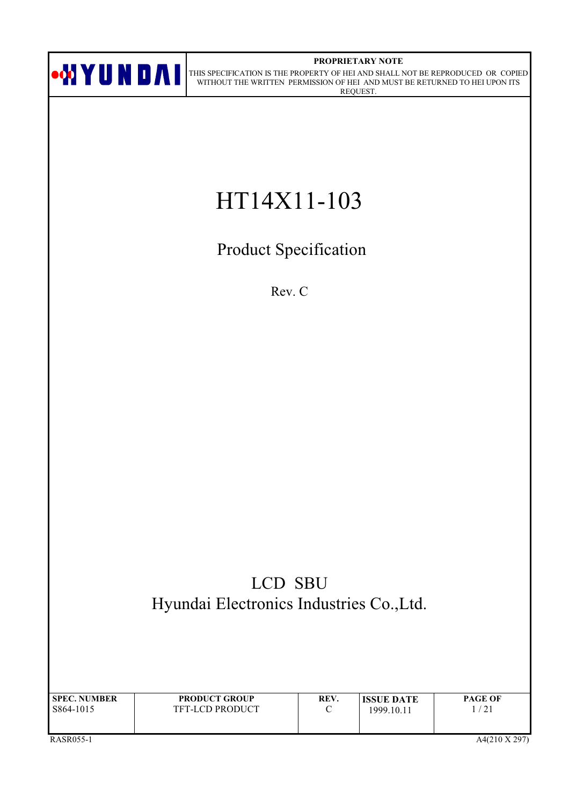

#### PROPRIETARY NOTE

ON DAI THIS SPECIFICATION IS THE PROPERTY OF HEI AND SHALL NOT BE REPRODUCED OR COPIED WITHOUT THE WRITTEN PERMISSION OF HEI AND MUST BE RETURNED TO HEI UPON ITS REQUEST.

# HT14X11-103

**Product Specification** 

Rev. C

# LCD SBU Hyundai Electronics Industries Co., Ltd.

| <b>SPEC. NUMBER</b> | <b>PRODUCT GROUP</b>   | REV.   | <b>ISSUE DATE</b> | <b>PAGE OF</b> |
|---------------------|------------------------|--------|-------------------|----------------|
| S864-1015           | <b>TFT-LCD PRODUCT</b> | $\sim$ | 1999.10.11        | /21            |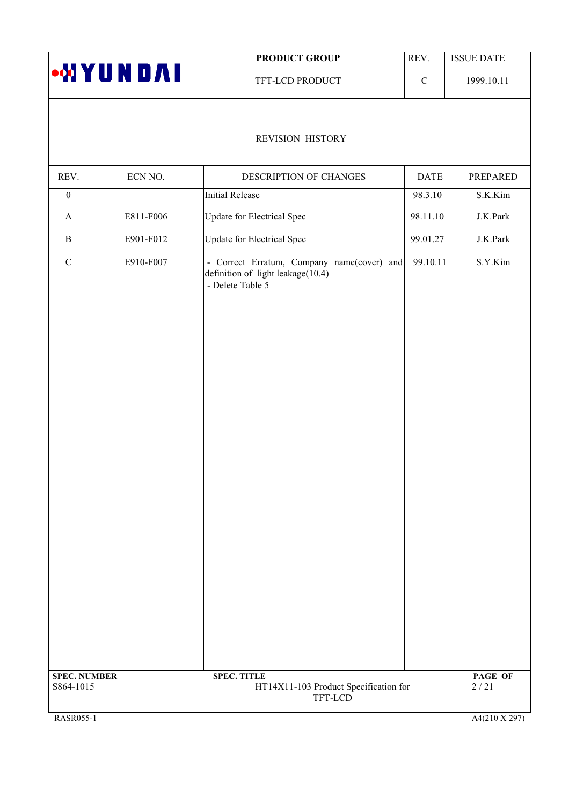|                                  |                 | <b>PRODUCT GROUP</b>                                                                                | REV.        | <b>ISSUE DATE</b> |
|----------------------------------|-----------------|-----------------------------------------------------------------------------------------------------|-------------|-------------------|
|                                  | <b>MIYUNDAI</b> | TFT-LCD PRODUCT                                                                                     | $\mathbf C$ | 1999.10.11        |
|                                  |                 | REVISION HISTORY                                                                                    |             |                   |
| REV.                             | ECN NO.         | DESCRIPTION OF CHANGES                                                                              | <b>DATE</b> | PREPARED          |
| $\boldsymbol{0}$                 |                 | <b>Initial Release</b>                                                                              | 98.3.10     | S.K.Kim           |
| $\boldsymbol{\rm{A}}$            | E811-F006       | <b>Update for Electrical Spec</b>                                                                   | 98.11.10    | J.K.Park          |
| $\, {\bf B}$                     | E901-F012       | <b>Update for Electrical Spec</b>                                                                   | 99.01.27    | J.K.Park          |
| $\mathbf C$                      | E910-F007       | - Correct Erratum, Company name(cover) and<br>definition of light leakage(10.4)<br>- Delete Table 5 | 99.10.11    | S.Y.Kim           |
| <b>SPEC. NUMBER</b><br>S864-1015 |                 | <b>SPEC. TITLE</b><br>HT14X11-103 Product Specification for                                         |             | PAGE OF<br>2/21   |
|                                  |                 | TFT-LCD                                                                                             |             |                   |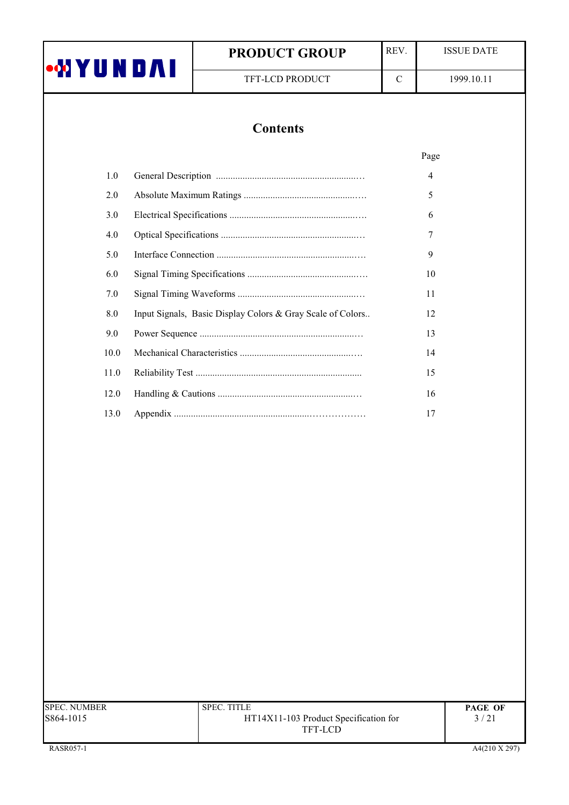|          | <b>PRODUCT GROUP</b>                                       | REV.        | <b>ISSUE DATE</b> |  |
|----------|------------------------------------------------------------|-------------|-------------------|--|
| •WYUNDAI | TFT-LCD PRODUCT                                            | $\mathbf C$ | 1999.10.11        |  |
|          |                                                            |             |                   |  |
|          | <b>Contents</b>                                            |             |                   |  |
|          |                                                            |             | Page              |  |
| 1.0      |                                                            |             | 4                 |  |
| 2.0      |                                                            |             | 5                 |  |
| 3.0      |                                                            |             | 6                 |  |
| 4.0      |                                                            |             | 7                 |  |
| 5.0      |                                                            |             | 9                 |  |
| 6.0      |                                                            |             | 10                |  |
| 7.0      |                                                            |             | 11                |  |
| 8.0      | Input Signals, Basic Display Colors & Gray Scale of Colors |             | 12                |  |
| 9.0      |                                                            |             | 13                |  |
| 10.0     |                                                            |             | 14                |  |
| 11.0     |                                                            |             | 15                |  |
| 12.0     |                                                            |             | 16                |  |
| 13.0     |                                                            |             | 17                |  |

| <b>SPEC. NUMBER</b> | <b>SPEC. TITLE</b>                    | <b>PAGE OF</b> |
|---------------------|---------------------------------------|----------------|
| S864-1015           | HT14X11-103 Product Specification for | 3/21           |
|                     | TFT-LCD                               |                |
|                     |                                       |                |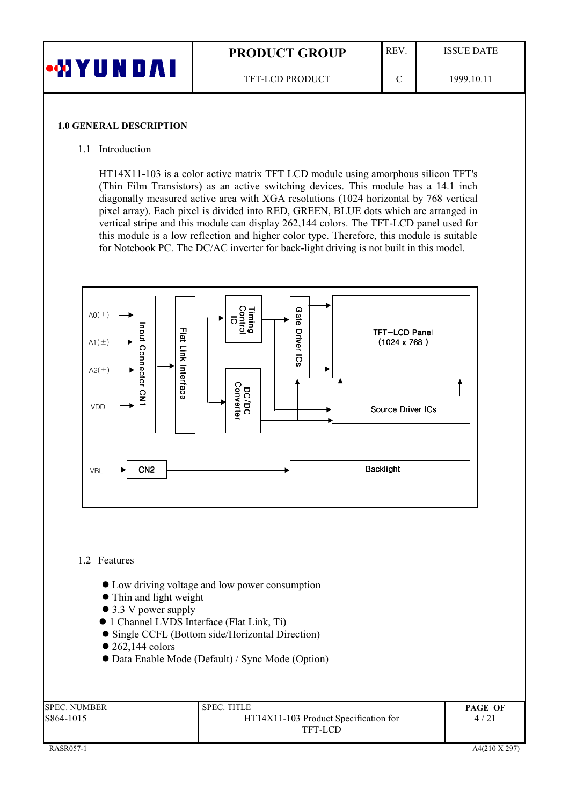| <b>ON Y U N</b> | <b>PRODUCT GROUP</b>   | REV. | <b>ISSUE DATE</b> |
|-----------------|------------------------|------|-------------------|
|                 | <b>TFT-LCD PRODUCT</b> |      | 1999.10.11        |

#### **1.0 GENERAL DESCRIPTION**

#### 1.1 Introduction

HT14X11-103 is a color active matrix TFT LCD module using amorphous silicon TFT's (Thin Film Transistors) as an active switching devices. This module has a 14.1 inch diagonally measured active area with XGA resolutions (1024 horizontal by 768 vertical pixel array). Each pixel is divided into RED, GREEN, BLUE dots which are arranged in vertical stripe and this module can display 262,144 colors. The TFT-LCD panel used for this module is a low reflection and higher color type. Therefore, this module is suitable for Notebook PC. The DC/AC inverter for back-light driving is not built in this model.



## 1.2 Features

- Low driving voltage and low power consumption
- Thin and light weight
- $\bullet$  3.3 V power supply
- 1 Channel LVDS Interface (Flat Link, Ti)
- Single CCFL (Bottom side/Horizontal Direction)
- $\bullet$  262,144 colors
- Data Enable Mode (Default) / Sync Mode (Option)

| SPEC. NUMBER | SPEC. TITLE                           | <b>PAGE OF</b> |
|--------------|---------------------------------------|----------------|
| 5864-1015    | HT14X11-103 Product Specification for | 4/21           |
|              | TFT-LCD                               |                |
|              |                                       |                |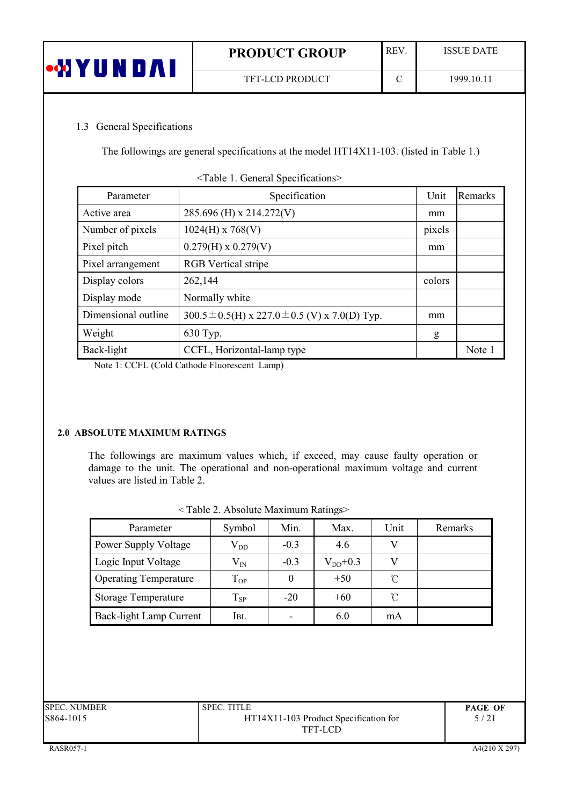| •⁄d Y U | <b>PRODUCT GROUP</b> | <b>REV</b> | <b>ISSUE DATE</b> |
|---------|----------------------|------------|-------------------|
|         | TFT-LCD PRODUCT      |            | 1999.10.11        |

# 1.3 General Specifications

The followings are general specifications at the model HT14X11-103. (listed in Table 1.)

| Parameter           | Specification                                          | Unit   | Remarks |
|---------------------|--------------------------------------------------------|--------|---------|
| Active area         | 285.696 (H) x 214.272(V)                               | mm     |         |
| Number of pixels    | $1024(H)$ x 768(V)                                     | pixels |         |
| Pixel pitch         | $0.279(H) \times 0.279(V)$                             | mm     |         |
| Pixel arrangement   | <b>RGB</b> Vertical stripe                             |        |         |
| Display colors      | 262,144                                                | colors |         |
| Display mode        | Normally white                                         |        |         |
| Dimensional outline | 300.5 $\pm$ 0.5(H) x 227.0 $\pm$ 0.5 (V) x 7.0(D) Typ. | mm     |         |
| Weight              | 630 Typ.                                               | g      |         |
| Back-light          | CCFL, Horizontal-lamp type                             |        | Note 1  |

<Table 1. General Specifications>

Note 1: CCFL (Cold Cathode Fluorescent Lamp)

#### 2.0 ABSOLUTE MAXIMUM RATINGS

The followings are maximum values which, if exceed, may cause faulty operation or damage to the unit. The operational and non-operational maximum voltage and current values are listed in Table 2.

| $\cdots$                     |                   |        |              |                     |         |
|------------------------------|-------------------|--------|--------------|---------------------|---------|
| Parameter                    | Symbol            | Min.   | Max.         | Unit                | Remarks |
| <b>Power Supply Voltage</b>  | $\rm V_{DD}$      | $-0.3$ | 4.6          |                     |         |
| Logic Input Voltage          | $\rm V_{IN}$      | $-0.3$ | $V_{DD}+0.3$ |                     |         |
| <b>Operating Temperature</b> | $T_{OP}$          |        | $+50$        | U                   |         |
| <b>Storage Temperature</b>   | $\mathrm{T_{SP}}$ | $-20$  | $+60$        | $\int_{0}^{\infty}$ |         |
| Back-light Lamp Current      | Ibl               |        | 6.0          | mA                  |         |

| <table 2.="" absolute="" maximum="" ratings=""></table> |  |  |
|---------------------------------------------------------|--|--|
|                                                         |  |  |

| <b>SPEC. NUMBER</b> | <b>SPEC. TITLE</b>                    | <b>PAGE OF</b> |
|---------------------|---------------------------------------|----------------|
| S864-1015           | HT14X11-103 Product Specification for | 5/21           |
|                     | TFT-LCD                               |                |
|                     |                                       |                |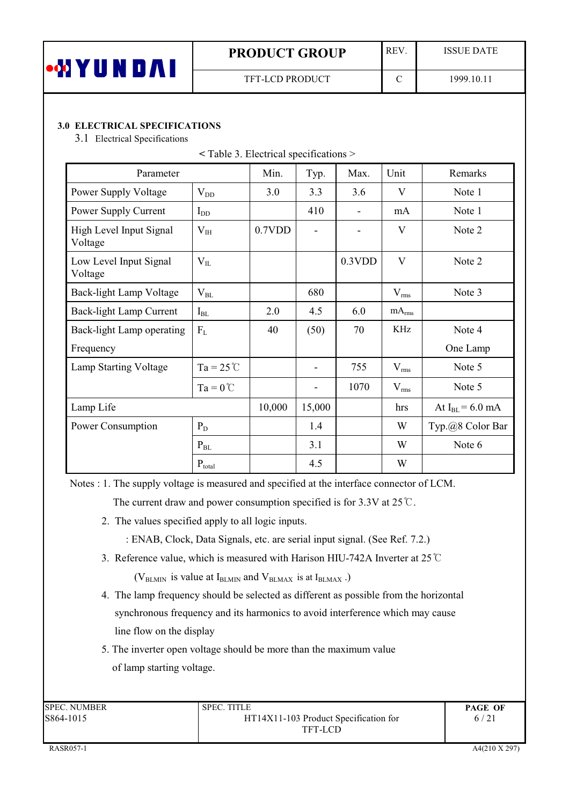| Ш | <b>PRODUCT GROUP</b>   | <b>REV</b> | <b>ISSUE DATE</b> |
|---|------------------------|------------|-------------------|
|   | <b>TFT-LCD PRODUCT</b> |            | 1999.10.1         |

# **3.0 ELECTRICAL SPECIFICATIONS**

3.1 Electrical Specifications

| Parameter                          |                    | Min.   | Typ.                         | Max.   | Unit              | Remarks              |
|------------------------------------|--------------------|--------|------------------------------|--------|-------------------|----------------------|
| Power Supply Voltage               | $V_{DD}$           | 3.0    | 3.3                          | 3.6    | $\mathbf{V}$      | Note 1               |
| Power Supply Current               | $I_{DD}$           |        | 410                          |        | mA                | Note 1               |
| High Level Input Signal<br>Voltage | $V_{IH}$           | 0.7VDD | $\overline{\phantom{a}}$     | ۰      | V                 | Note 2               |
| Low Level Input Signal<br>Voltage  | $V_{IL}$           |        |                              | 0.3VDD | $\mathbf{V}$      | Note 2               |
| Back-light Lamp Voltage            | $V_{BL}$           |        | 680                          |        | $V_{rms}$         | Note 3               |
| Back-light Lamp Current            | $I_{BL}$           | 2.0    | 4.5                          | 6.0    | mA <sub>rms</sub> |                      |
| Back-light Lamp operating          | $F_L$              | 40     | (50)                         | 70     | KHz               | Note 4               |
| Frequency                          |                    |        |                              |        |                   | One Lamp             |
| Lamp Starting Voltage              | $Ta = 25^{\circ}C$ |        | $\qquad \qquad \blacksquare$ | 755    | $V_{rms}$         | Note 5               |
|                                    | $Ta = 0^{\circ}C$  |        | ۰                            | 1070   | $V_{rms}$         | Note 5               |
| Lamp Life                          |                    |        | 15,000                       |        | hrs               | At $I_{BL} = 6.0$ mA |
| Power Consumption                  | $P_D$              |        | 1.4                          |        | W                 | Typ.@8 Color Bar     |
|                                    | $P_{BL}$           |        | 3.1                          |        | W                 | Note 6               |
|                                    | $P_{total}$        |        | 4.5                          |        | W                 |                      |

| $\le$ Table 3. Electrical specifications $>$ |
|----------------------------------------------|
|----------------------------------------------|

Notes : 1. The supply voltage is measured and specified at the interface connector of LCM.

The current draw and power consumption specified is for 3.3V at  $25^{\circ}$ C.

- 2. The values specified apply to all logic inputs.
	- : ENAB, Clock, Data Signals, etc. are serial input signal. (See Ref. 7.2.)
- 3. Reference value, which is measured with Harison HIU-742A Inverter at  $25^{\circ}$ C

( $V_{BLMIN}$  is value at  $I_{BLMIN}$  and  $V_{BLMAX}$  is at  $I_{BLMAX}$ .)

- 4. The lamp frequency should be selected as different as possible from the horizontal synchronous frequency and its harmonics to avoid interference which may cause line flow on the display
- 5. The inverter open voltage should be more than the maximum value of lamp starting voltage.

| <b>SPEC. NUMBER</b> | <b>SPEC. TITLE</b>                    | <b>PAGE OF</b> |
|---------------------|---------------------------------------|----------------|
| S864-1015           | HT14X11-103 Product Specification for | 6/21           |
|                     | TFT-LCD                               |                |
|                     |                                       |                |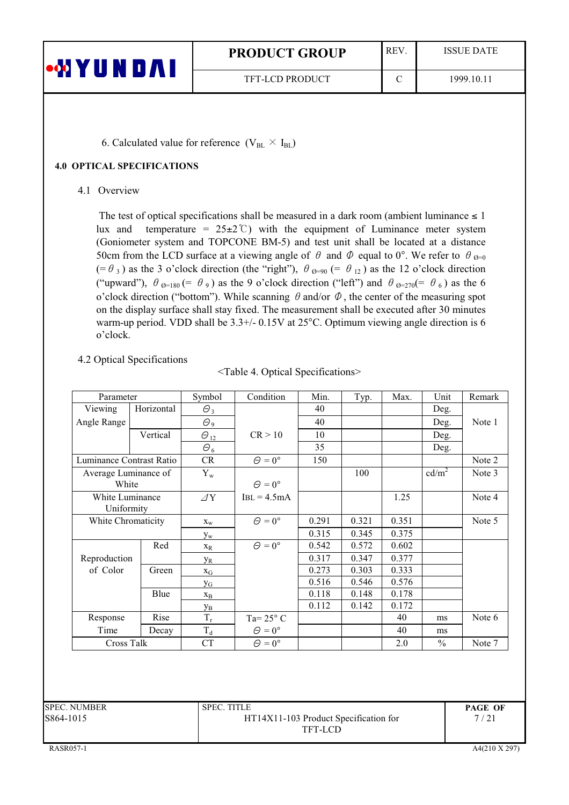| •WYUNDAI | <b>PRODUCT GROUP</b>   | <b>REV</b> | <b>ISSUE DATE</b> |
|----------|------------------------|------------|-------------------|
|          | <b>TFT-LCD PRODUCT</b> |            | 1999.10.11        |

6. Calculated value for reference  $(V_{BL} \times I_{BL})$ 

#### **4.0 OPTICAL SPECIFICATIONS**

4.1 Overview

The test of optical specifications shall be measured in a dark room (ambient luminance  $\leq 1$ ) temperature =  $25\pm2$ °C) with the equipment of Luminance meter system lux and (Goniometer system and TOPCONE BM-5) and test unit shall be located at a distance 50cm from the LCD surface at a viewing angle of  $\theta$  and  $\Phi$  equal to 0°. We refer to  $\theta_{\theta=0}$  $(=\theta_3)$  as the 3 o'clock direction (the "right"),  $\theta_{\theta=90}$  (=  $\theta_{12}$ ) as the 12 o'clock direction ("upward"),  $\theta_{\theta=180}$  (=  $\theta_{9}$ ) as the 9 o'clock direction ("left") and  $\theta_{\theta=270}$  (=  $\theta_{6}$ ) as the 6 o'clock direction ("bottom"). While scanning  $\theta$  and/or  $\Phi$ , the center of the measuring spot on the display surface shall stay fixed. The measurement shall be executed after 30 minutes warm-up period. VDD shall be 3.3+/- 0.15V at 25°C. Optimum viewing angle direction is 6 o'clock.

# 4.2 Optical Specifications

|  |  | <table 4.="" optical="" specifications=""></table> |  |
|--|--|----------------------------------------------------|--|
|--|--|----------------------------------------------------|--|

| Parameter                |            | Symbol                | Condition            | Min.  | Typ.  | Max.  | Unit          | Remark |
|--------------------------|------------|-----------------------|----------------------|-------|-------|-------|---------------|--------|
| Viewing                  | Horizontal | $\Theta_3$            |                      | 40    |       |       | Deg.          |        |
| Angle Range              |            | $\Theta_9$            |                      | 40    |       |       | Deg.          | Note 1 |
|                          | Vertical   | $\Theta_{12}$         | CR > 10              | 10    |       |       | Deg.          |        |
|                          |            | $\Theta_6$            |                      | 35    |       |       | Deg.          |        |
| Luminance Contrast Ratio |            | CR                    | $\Theta = 0^{\circ}$ | 150   |       |       |               | Note 2 |
| Average Luminance of     |            | $Y_{w}$               |                      |       | 100   |       | $cd/m^2$      | Note 3 |
| White                    |            |                       | $\Theta = 0^{\circ}$ |       |       |       |               |        |
| White Luminance          |            | $\varDelta$ Y         | $IBL = 4.5mA$        |       |       | 1.25  |               | Note 4 |
| Uniformity               |            |                       |                      |       |       |       |               |        |
| White Chromaticity       |            | $X_{W}$               | $\Theta = 0^{\circ}$ | 0.291 | 0.321 | 0.351 |               | Note 5 |
|                          |            | $y_w$                 |                      | 0.315 | 0.345 | 0.375 |               |        |
|                          | Red        | $X_R$                 | $\Theta = 0^{\circ}$ | 0.542 | 0.572 | 0.602 |               |        |
| Reproduction             |            | <b>Y</b> <sub>R</sub> |                      | 0.317 | 0.347 | 0.377 |               |        |
| of Color                 | Green      | $X_G$                 |                      | 0.273 | 0.303 | 0.333 |               |        |
|                          |            | $y_G$                 |                      | 0.516 | 0.546 | 0.576 |               |        |
|                          | Blue       | $X_{B}$               |                      | 0.118 | 0.148 | 0.178 |               |        |
|                          |            | Ув                    |                      | 0.112 | 0.142 | 0.172 |               |        |
| Response                 | Rise       | $T_r$                 | Ta= $25^{\circ}$ C   |       |       | 40    | ms            | Note 6 |
| Time                     | Decay      | $T_d$                 | $\Theta = 0^{\circ}$ |       |       | 40    | ms            |        |
| Cross Talk               |            | <b>CT</b>             | $\Theta = 0^{\circ}$ |       |       | 2.0   | $\frac{0}{0}$ | Note 7 |

| <b>SPEC. TITLE</b>                    | <b>PAGE OF</b> |
|---------------------------------------|----------------|
| HT14X11-103 Product Specification for | 7/21           |
| TFT-LCD                               |                |
|                                       |                |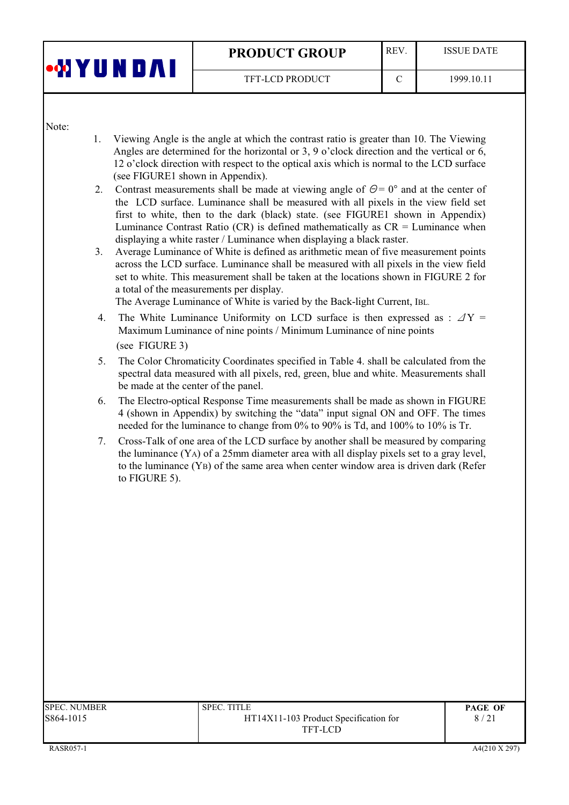| <b>oo</b> b<br>$\mathbf{u}$ | <b>REV</b><br><b>PRODUCT GROUP</b> |  | <b>ISSUE DATE</b> |
|-----------------------------|------------------------------------|--|-------------------|
|                             | TFT-LCD PRODUCT                    |  | 1999.10.11        |

Note:

- $1<sub>1</sub>$ Viewing Angle is the angle at which the contrast ratio is greater than 10. The Viewing Angles are determined for the horizontal or 3, 9 o'clock direction and the vertical or 6, 12 o'clock direction with respect to the optical axis which is normal to the LCD surface (see FIGURE1 shown in Appendix).
- 2. Contrast measurements shall be made at viewing angle of  $\Theta = 0^{\circ}$  and at the center of the LCD surface. Luminance shall be measured with all pixels in the view field set first to white, then to the dark (black) state. (see FIGURE1 shown in Appendix) Luminance Contrast Ratio (CR) is defined mathematically as  $CR =$  Luminance when displaying a white raster / Luminance when displaying a black raster.
- $3<sup>1</sup>$ Average Luminance of White is defined as arithmetic mean of five measurement points across the LCD surface. Luminance shall be measured with all pixels in the view field set to white. This measurement shall be taken at the locations shown in FIGURE 2 for a total of the measurements per display.

The Average Luminance of White is varied by the Back-light Current, IBL.

- 4. The White Luminance Uniformity on LCD surface is then expressed as :  $\Delta Y =$ Maximum Luminance of nine points / Minimum Luminance of nine points (see FIGURE 3)
- The Color Chromaticity Coordinates specified in Table 4. shall be calculated from the  $5.$ spectral data measured with all pixels, red, green, blue and white. Measurements shall be made at the center of the panel.
- 6. The Electro-optical Response Time measurements shall be made as shown in FIGURE 4 (shown in Appendix) by switching the "data" input signal ON and OFF. The times needed for the luminance to change from 0% to 90% is Td, and 100% to 10% is Tr.
- Cross-Talk of one area of the LCD surface by another shall be measured by comparing 7. the luminance (YA) of a 25mm diameter area with all display pixels set to a gray level, to the luminance  $(YB)$  of the same area when center window area is driven dark (Refer to FIGURE 5).

| SPEC. NUMBER | <b>SPEC. TITLE</b>                    | <b>PAGE OF</b> |
|--------------|---------------------------------------|----------------|
| S864-1015    | HT14X11-103 Product Specification for | 8/21           |
|              | TFT-LCD                               |                |
|              |                                       |                |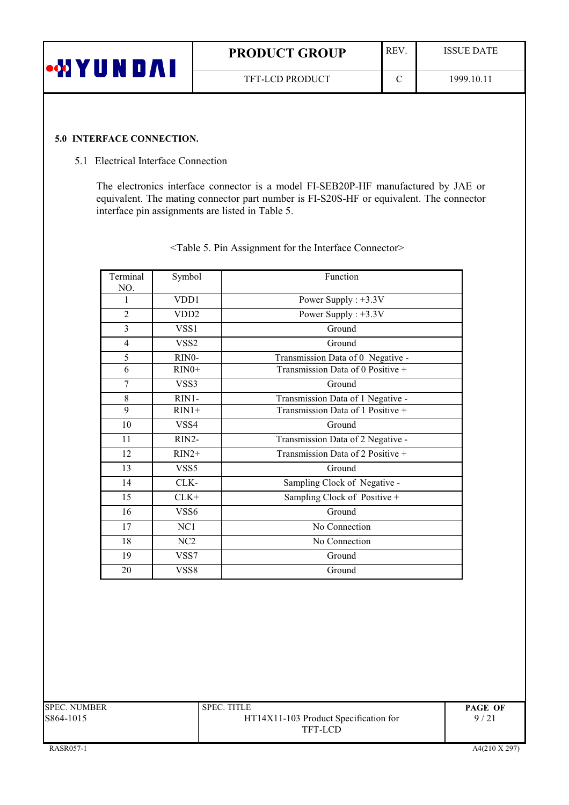| UNDAI<br>oo YI | <b>REV</b><br><b>PRODUCT GROUP</b> |   | <b>ISSUE DATE</b> |
|----------------|------------------------------------|---|-------------------|
|                | <b>TFT-LCD PRODUCT</b>             | ⌒ | 1999.10.11        |

#### 5.0 INTERFACE CONNECTION.

#### 5.1 Electrical Interface Connection

The electronics interface connector is a model FI-SEB20P-HF manufactured by JAE or equivalent. The mating connector part number is FI-S20S-HF or equivalent. The connector interface pin assignments are listed in Table 5.

| Terminal       | Symbol            | Function                          |  |  |
|----------------|-------------------|-----------------------------------|--|--|
| NO.            |                   |                                   |  |  |
| 1              | VDD1              | Power Supply : $+3.3V$            |  |  |
| $\overline{2}$ | VD <sub>D</sub> 2 | Power Supply : $+3.3V$            |  |  |
| 3              | VSS1              | Ground                            |  |  |
| $\overline{4}$ | VSS <sub>2</sub>  | Ground                            |  |  |
| 5              | RINO-             | Transmission Data of 0 Negative - |  |  |
| 6              | $RIN0+$           | Transmission Data of 0 Positive + |  |  |
| $\overline{7}$ | VSS3              | Ground                            |  |  |
| 8              | RIN1-             | Transmission Data of 1 Negative - |  |  |
| 9              | $RIN1+$           | Transmission Data of 1 Positive + |  |  |
| 10             | VSS4              | Ground                            |  |  |
| 11             | RIN2-             | Transmission Data of 2 Negative - |  |  |
| 12             | $RIN2+$           | Transmission Data of 2 Positive + |  |  |
| 13             | VSS5              | Ground                            |  |  |
| 14             | CLK-              | Sampling Clock of Negative -      |  |  |
| 15             | $CLK+$            | Sampling Clock of Positive +      |  |  |
| 16             | VSS6              | Ground                            |  |  |
| 17             | NC <sub>1</sub>   | No Connection                     |  |  |
| 18             | NC2               | No Connection                     |  |  |
| 19             | VSS7              | Ground                            |  |  |
| 20             | VSS8              | Ground                            |  |  |

<Table 5. Pin Assignment for the Interface Connector>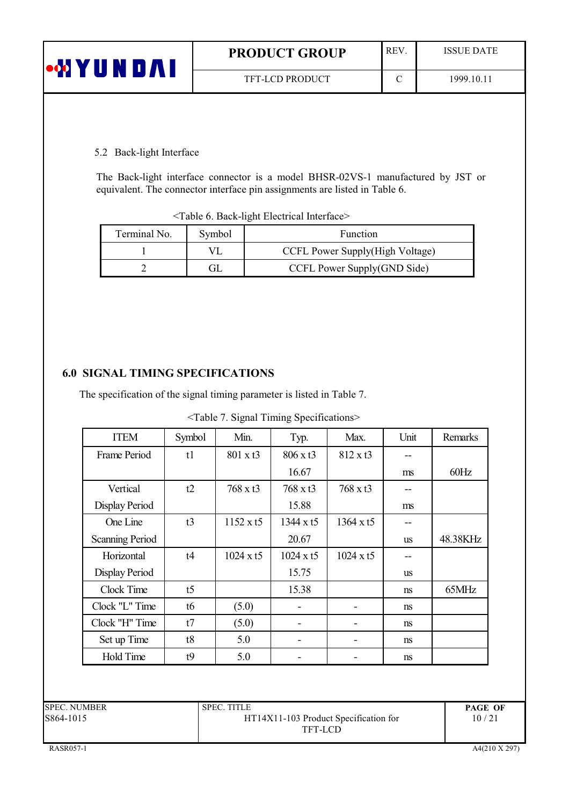| <b>COYUNDAI</b> | <b>PRODUCT GROUP</b>   | <b>REV</b> | <b>ISSUE DATE</b> |
|-----------------|------------------------|------------|-------------------|
|                 | <b>TFT-LCD PRODUCT</b> |            | 1999.10.11        |

# 5.2 Back-light Interface

The Back-light interface connector is a model BHSR-02VS-1 manufactured by JST or equivalent. The connector interface pin assignments are listed in Table 6.

| <table 6.="" back-light="" electrical="" interface=""></table> |  |  |
|----------------------------------------------------------------|--|--|
|----------------------------------------------------------------|--|--|

| Terminal No. | Symbol | <b>Function</b>                 |  |  |  |  |
|--------------|--------|---------------------------------|--|--|--|--|
|              |        | CCFL Power Supply(High Voltage) |  |  |  |  |
|              | GI     | CCFL Power Supply(GND Side)     |  |  |  |  |

# **6.0 SIGNAL TIMING SPECIFICATIONS**

The specification of the signal timing parameter is listed in Table 7.

<Table 7. Signal Timing Specifications>

| <b>ITEM</b>            | Symbol         | Min.             | Typ.             | Max.             | Unit          | Remarks  |
|------------------------|----------------|------------------|------------------|------------------|---------------|----------|
| Frame Period           | t1             | $801 \times t3$  | 806 x t3         | 812 x t3         |               |          |
|                        |                |                  | 16.67            |                  | ms            | 60Hz     |
| Vertical               | t2             | $768 \times t3$  | $768 \times t3$  | $768 \times t3$  |               |          |
| Display Period         |                |                  | 15.88            |                  | ms            |          |
| One Line               | t3             | $1152 \times t5$ | $1344 \times 15$ | 1364 x t5        |               |          |
| <b>Scanning Period</b> |                |                  | 20.67            |                  | <b>us</b>     | 48.38KHz |
| Horizontal             | t4             | $1024 \times t5$ | $1024 \times t5$ | $1024 \times t5$ |               |          |
| Display Period         |                |                  | 15.75            |                  | <b>us</b>     |          |
| Clock Time             | t <sub>5</sub> |                  | 15.38            |                  | <sub>ns</sub> | 65MHz    |
| Clock "L" Time         | t6             | (5.0)            |                  |                  | <sub>ns</sub> |          |
| Clock "H" Time         | t7             | (5.0)            |                  |                  | <sub>ns</sub> |          |
| Set up Time            | t8             | 5.0              |                  |                  | ns            |          |
| <b>Hold Time</b>       | t9             | 5.0              |                  |                  | ns            |          |

| <b>SPEC. NUMBER</b> | <b>SPEC. TITLE</b>                    | <b>PAGE OF</b> |
|---------------------|---------------------------------------|----------------|
| S864-1015           | HT14X11-103 Product Specification for | 10/21          |
|                     | TFT-LCD                               |                |
|                     |                                       |                |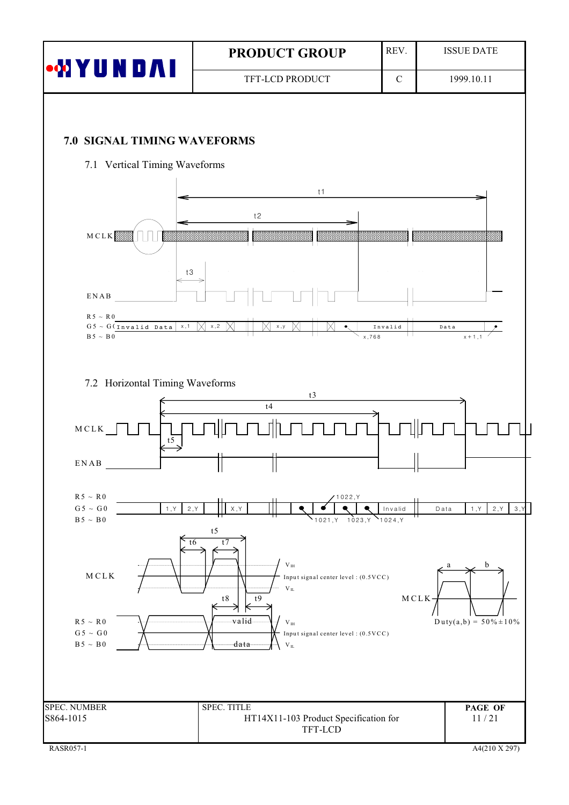|                                                                             | <b>PRODUCT GROUP</b>                                                                  | REV.                     | <b>ISSUE DATE</b>            |
|-----------------------------------------------------------------------------|---------------------------------------------------------------------------------------|--------------------------|------------------------------|
| <b>MYUNDAI</b>                                                              | TFT-LCD PRODUCT                                                                       | $\mathbf C$              | 1999.10.11                   |
|                                                                             |                                                                                       |                          |                              |
| 7.0 SIGNAL TIMING WAVEFORMS                                                 |                                                                                       |                          |                              |
| 7.1 Vertical Timing Waveforms                                               |                                                                                       |                          |                              |
|                                                                             | t1                                                                                    |                          |                              |
|                                                                             | t2                                                                                    |                          |                              |
| MCLK                                                                        |                                                                                       |                          |                              |
| $t3$                                                                        |                                                                                       |                          |                              |
| ENAB                                                                        |                                                                                       |                          |                              |
| $R5 \sim R0$<br>x,1<br>$G5 \sim G($ Invalid Data                            | x, 2<br>x, y                                                                          | Invalid                  | Data                         |
| $B 5 ~\sim~ B 0$                                                            |                                                                                       | x,768                    | $x + 1, 1$                   |
|                                                                             |                                                                                       |                          |                              |
| 7.2 Horizontal Timing Waveforms                                             | t3                                                                                    |                          |                              |
|                                                                             | t4                                                                                    |                          |                              |
| $MCLK$<br>t5                                                                |                                                                                       |                          |                              |
| ENAB                                                                        | IJ                                                                                    |                          |                              |
| $R5 \sim R0$                                                                | 1022, Y                                                                               |                          |                              |
| $\rm{G\,5\,\sim\,G\,0}$<br>1, Y<br>2, Y<br>$\mbox{B}\,5\,\sim\,\mbox{B}\,0$ | X, Y<br>1023, Y<br>1021, Y                                                            | Invalid<br>$Y_{1024, Y}$ | 2, Y<br>1, Y<br>3, Y<br>Data |
| $\overline{16}$                                                             | $\ensuremath{\mathrm{t}}\xspace$ 5<br>t7                                              |                          |                              |
|                                                                             | $\rm V_{\rm \,IH}$                                                                    |                          | b<br>a                       |
| MCLK                                                                        | Input signal center level: (0.5VCC)<br>$V_{\,IL}$<br>$\ensuremath{\mathrm{t}}8$<br>t9 | MCLK                     |                              |
| $R5 \sim R0$                                                                | K<br>₹<br>valid<br>$\rm V_{\rm IH}$                                                   |                          | $Duty(a,b) = 50\% \pm 10\%$  |
| $\mathrm{G}\,5\,\sim\,\mathrm{G}\,0$<br>$\mbox{B}\,5\,\sim\,\mbox{B}\,0$    | Input signal center level: (0.5VCC)<br>data<br>$V_{\,IL}$                             |                          |                              |
|                                                                             |                                                                                       |                          |                              |
|                                                                             |                                                                                       |                          |                              |
| <b>SPEC. NUMBER</b><br>S864-1015                                            | SPEC. TITLE<br>HT14X11-103 Product Specification for                                  |                          | PAGE OF<br>11/21             |
|                                                                             | TFT-LCD                                                                               |                          | $A4(210 \text{ X } 297)$     |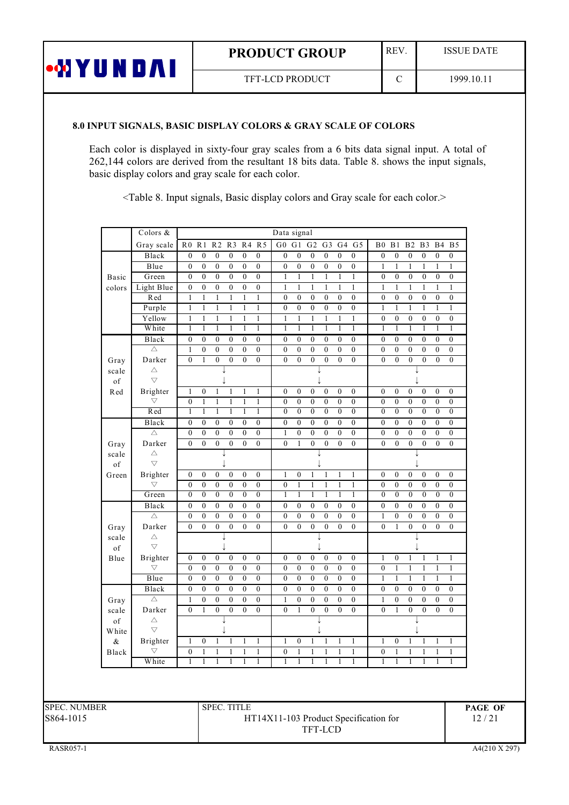|  | <b>PRODUCT GROUP</b> |  |
|--|----------------------|--|
|  |                      |  |

TFT-LCD PRODUCT

 $\overline{C}$ 

#### 8.0 INPUT SIGNALS, BASIC DISPLAY COLORS & GRAY SCALE OF COLORS

**WYUNDAI** 

Each color is displayed in sixty-four gray scales from a 6 bits data signal input. A total of 262,144 colors are derived from the resultant 18 bits data. Table 8. shows the input signals, basic display colors and gray scale for each color.

<Table 8. Input signals, Basic display colors and Gray scale for each color.>

|             | Colors &               |                              |                              |                                  |                                  |                              |                                  | Data signal                  |                              |                              |                                      |                                      |                              |                              |                                      |                                      |                              |                                  |                                    |
|-------------|------------------------|------------------------------|------------------------------|----------------------------------|----------------------------------|------------------------------|----------------------------------|------------------------------|------------------------------|------------------------------|--------------------------------------|--------------------------------------|------------------------------|------------------------------|--------------------------------------|--------------------------------------|------------------------------|----------------------------------|------------------------------------|
|             | Gray scale             | R <sub>0</sub>               | R <sub>1</sub>               | R <sub>2</sub>                   | R3                               | R <sub>4</sub>               | R <sub>5</sub>                   | G <sub>0</sub>               | G <sub>1</sub>               | G <sub>2</sub>               | G <sub>3</sub>                       | G4                                   | $\overline{G}$               | B <sub>0</sub>               | B1                                   | B <sub>2</sub>                       | B <sub>3</sub>               | B4                               | B <sub>5</sub>                     |
|             | Black                  | $\boldsymbol{0}$             | $\boldsymbol{0}$             | $\mathbf{0}$                     | $\boldsymbol{0}$                 | $\mathbf{0}$                 | $\mathbf{0}$                     | $\mathbf{0}$                 | $\mathbf{0}$                 | $\mathbf{0}$                 | $\boldsymbol{0}$                     | $\boldsymbol{0}$                     | $\mathbf{0}$                 | $\mathbf{0}$                 | $\boldsymbol{0}$                     | $\boldsymbol{0}$                     | $\boldsymbol{0}$             | $\mathbf{0}$                     | $\boldsymbol{0}$                   |
|             | Blue                   | $\boldsymbol{0}$             | $\boldsymbol{0}$             | $\boldsymbol{0}$                 | $\boldsymbol{0}$                 | $\boldsymbol{0}$             | $\boldsymbol{0}$                 | $\boldsymbol{0}$             | $\boldsymbol{0}$             | $\boldsymbol{0}$             | $\boldsymbol{0}$                     | $\boldsymbol{0}$                     | $\boldsymbol{0}$             | $\mathbf{1}$                 | $\mathbf{1}$                         | $\mathbf{1}$                         | $\mathbf{1}$                 | $\mathbf{1}$                     | 1                                  |
| Basic       | Green                  | $\mathbf{0}$                 | $\mathbf{0}$                 | $\boldsymbol{0}$                 | $\boldsymbol{0}$                 | $\boldsymbol{0}$             | $\boldsymbol{0}$                 | $\mathbf{1}$                 | $\mathbf{1}$                 | $\mathbf{1}$                 | $\mathbf{1}$                         | $\mathbf{1}$                         | $\mathbf{1}$                 | $\boldsymbol{0}$             | $\boldsymbol{0}$                     | $\boldsymbol{0}$                     | $\boldsymbol{0}$             | $\boldsymbol{0}$                 | $\boldsymbol{0}$                   |
| colors      | Light Blue             | $\mathbf{0}$                 | $\mathbf{0}$                 | $\mathbf{0}$                     | $\boldsymbol{0}$                 | $\boldsymbol{0}$             | $\boldsymbol{0}$                 | $\mathbf{1}$                 | $\,1$                        | $\mathbf{1}$                 | $\mathbf{1}$                         | $\,1$                                | $\mathbf{1}$                 | $\mathbf{1}$                 | $\mathbf{1}$                         | $\,1\,$                              | $\mathbf{1}$                 | $\mathbf{1}$                     | $\mathbf{1}$                       |
|             | Red                    | $\mathbf{1}$                 | $\mathbf{1}$                 | $\mathbf{1}$                     | 1                                | $\mathbf{1}$                 | $\mathbf{1}$                     | $\boldsymbol{0}$             | $\boldsymbol{0}$             | $\boldsymbol{0}$             | $\boldsymbol{0}$                     | $\boldsymbol{0}$                     | $\boldsymbol{0}$             | $\boldsymbol{0}$             | $\boldsymbol{0}$                     | $\boldsymbol{0}$                     | $\boldsymbol{0}$             | $\boldsymbol{0}$                 | $\boldsymbol{0}$                   |
|             | Purple                 | $\mathbf{1}$                 | $\mathbf{1}$                 | $\mathbf{1}$                     | $\mathbf{1}$                     | $\mathbf{1}$                 | $\mathbf{1}$                     | $\mathbf{0}$                 | $\mathbf{0}$                 | $\overline{0}$               | $\boldsymbol{0}$                     | $\boldsymbol{0}$                     | $\mathbf{0}$                 | $\mathbf{1}$                 | $\mathbf{1}$                         | $\mathbf{1}$                         | $\mathbf{1}$                 | $\mathbf{1}$                     | $\mathbf{1}$                       |
|             | Yellow                 | $\mathbf{1}$                 | $\mathbf{1}$                 | $\mathbf{1}$                     | $\mathbf{1}$                     | $\,1$                        | $\,1$                            | $\mathbf{1}$                 | $\,1$                        | $\mathbf{1}$                 | $\mathbf{1}$                         | $\overline{\mathbf{1}}$              | $\mathbf{1}$                 | $\boldsymbol{0}$             | $\boldsymbol{0}$                     | $\boldsymbol{0}$                     | $\boldsymbol{0}$             | $\boldsymbol{0}$                 | $\boldsymbol{0}$                   |
|             | White                  | $\mathbf{1}$                 | 1                            | $\mathbf{1}$                     | $\mathbf{1}$                     | $\mathbf{1}$                 | $\mathbf{1}$                     | $\mathbf{1}$                 | 1                            | 1                            | $\mathbf{1}$                         | $\mathbf{1}$                         | 1                            | 1                            | 1                                    | $\overline{1}$                       | $\mathbf{1}$                 | 1                                | $\mathbf{1}$                       |
|             | Black<br>Δ             | $\mathbf{0}$<br>$\mathbf{1}$ | $\mathbf{0}$<br>$\mathbf{0}$ | $\mathbf{0}$<br>$\boldsymbol{0}$ | $\boldsymbol{0}$<br>$\mathbf{0}$ | $\mathbf{0}$<br>$\mathbf{0}$ | $\mathbf{0}$<br>$\boldsymbol{0}$ | $\mathbf{0}$<br>$\mathbf{0}$ | $\mathbf{0}$<br>$\mathbf{0}$ | $\mathbf{0}$<br>$\mathbf{0}$ | $\boldsymbol{0}$<br>$\boldsymbol{0}$ | $\boldsymbol{0}$<br>$\boldsymbol{0}$ | $\mathbf{0}$<br>$\mathbf{0}$ | $\mathbf{0}$<br>$\mathbf{0}$ | $\boldsymbol{0}$<br>$\boldsymbol{0}$ | $\boldsymbol{0}$<br>$\boldsymbol{0}$ | $\mathbf{0}$<br>$\mathbf{0}$ | $\mathbf{0}$<br>$\boldsymbol{0}$ | $\overline{0}$<br>$\boldsymbol{0}$ |
|             | Darker                 | $\overline{0}$               | $\mathbf{1}$                 | $\overline{0}$                   | $\mathbf{0}$                     | $\theta$                     | $\mathbf{0}$                     | $\mathbf{0}$                 | $\mathbf{0}$                 | $\overline{0}$               | $\overline{0}$                       | $\mathbf{0}$                         | $\mathbf{0}$                 | $\theta$                     | $\overline{0}$                       | $\mathbf{0}$                         | $\mathbf{0}$                 | $\mathbf{0}$                     | $\overline{0}$                     |
| Gray        | Δ                      |                              |                              |                                  |                                  |                              |                                  |                              |                              |                              |                                      |                                      |                              |                              |                                      |                                      |                              |                                  |                                    |
| scale<br>of | $\overline{\nabla}$    |                              |                              |                                  |                                  |                              |                                  |                              |                              |                              |                                      |                                      |                              |                              |                                      |                                      |                              |                                  |                                    |
| Red         | <b>Brighter</b>        | $\mathbf{1}$                 | $\boldsymbol{0}$             | 1                                | $\mathbf{1}$                     | $\mathbf{1}$                 | $\,1$                            | $\boldsymbol{0}$             | $\boldsymbol{0}$             | $\boldsymbol{0}$             | $\boldsymbol{0}$                     | $\boldsymbol{0}$                     | $\boldsymbol{0}$             | $\boldsymbol{0}$             | $\boldsymbol{0}$                     | $\boldsymbol{0}$                     | $\boldsymbol{0}$             | $\boldsymbol{0}$                 | $\boldsymbol{0}$                   |
|             | $\bigtriangledown$     | $\boldsymbol{0}$             | $\mathbf{1}$                 | $\mathbf{1}$                     | $\mathbf{1}$                     | $\mathbf{1}$                 | $\mathbf{1}$                     | $\boldsymbol{0}$             | $\boldsymbol{0}$             | $\boldsymbol{0}$             | $\boldsymbol{0}$                     | $\boldsymbol{0}$                     | $\boldsymbol{0}$             | $\mathbf{0}$                 | $\boldsymbol{0}$                     | $\boldsymbol{0}$                     | $\boldsymbol{0}$             | $\boldsymbol{0}$                 | $\boldsymbol{0}$                   |
|             | Red                    | $\overline{1}$               | $\mathbf{1}$                 | $\overline{1}$                   | $\mathbf{1}$                     | $\overline{1}$               | $\overline{1}$                   | $\overline{0}$               | $\mathbf{0}$                 | $\overline{0}$               | $\boldsymbol{0}$                     | $\overline{0}$                       | $\overline{0}$               | $\mathbf{0}$                 | $\overline{0}$                       | $\overline{0}$                       | $\mathbf{0}$                 | $\overline{0}$                   | $\overline{0}$                     |
|             | Black                  | $\boldsymbol{0}$             | $\boldsymbol{0}$             | $\boldsymbol{0}$                 | $\boldsymbol{0}$                 | $\boldsymbol{0}$             | $\boldsymbol{0}$                 | $\boldsymbol{0}$             | $\boldsymbol{0}$             | $\boldsymbol{0}$             | $\boldsymbol{0}$                     | $\boldsymbol{0}$                     | $\boldsymbol{0}$             | $\boldsymbol{0}$             | $\boldsymbol{0}$                     | $\boldsymbol{0}$                     | $\boldsymbol{0}$             | $\boldsymbol{0}$                 | $\boldsymbol{0}$                   |
|             | $\triangle$            | $\boldsymbol{0}$             | $\mathbf{0}$                 | $\boldsymbol{0}$                 | $\boldsymbol{0}$                 | $\mathbf{0}$                 | $\boldsymbol{0}$                 | $\mathbf{1}$                 | $\boldsymbol{0}$             | $\mathbf{0}$                 | $\boldsymbol{0}$                     | $\boldsymbol{0}$                     | $\mathbf{0}$                 | $\mathbf{0}$                 | $\boldsymbol{0}$                     | $\boldsymbol{0}$                     | $\mathbf{0}$                 | $\boldsymbol{0}$                 | $\boldsymbol{0}$                   |
| Gray        | Darker                 | $\overline{0}$               | $\boldsymbol{0}$             | $\overline{0}$                   | $\overline{0}$                   | $\overline{0}$               | $\overline{0}$                   | $\boldsymbol{0}$             | $\,1$                        | $\overline{0}$               | $\boldsymbol{0}$                     | $\boldsymbol{0}$                     | $\boldsymbol{0}$             | $\overline{0}$               | $\boldsymbol{0}$                     | $\boldsymbol{0}$                     | $\overline{0}$               | $\boldsymbol{0}$                 | $\boldsymbol{0}$                   |
| scale       | $\triangle$            |                              |                              |                                  |                                  |                              |                                  |                              |                              |                              |                                      |                                      |                              |                              |                                      |                                      |                              |                                  |                                    |
| of          | $\overline{\nabla}$    |                              |                              |                                  |                                  |                              |                                  |                              |                              |                              | J                                    |                                      |                              |                              |                                      |                                      | J                            |                                  |                                    |
| Green       | Brighter               | $\boldsymbol{0}$             | $\boldsymbol{0}$             | $\boldsymbol{0}$                 | $\boldsymbol{0}$                 | $\boldsymbol{0}$             | $\boldsymbol{0}$                 | $\mathbf{1}$                 | $\boldsymbol{0}$             | $\mathbf{1}$                 | $\mathbf{1}$                         | $\mathbf{1}$                         | $\mathbf{1}$                 | $\boldsymbol{0}$             | $\boldsymbol{0}$                     | $\boldsymbol{0}$                     | $\boldsymbol{0}$             | $\boldsymbol{0}$                 | $\boldsymbol{0}$                   |
|             | $\bigtriangledown$     | $\mathbf{0}$                 | $\mathbf{0}$                 | $\boldsymbol{0}$                 | $\boldsymbol{0}$                 | $\mathbf{0}$                 | $\boldsymbol{0}$                 | $\boldsymbol{0}$             | $\mathbf{1}$                 | $\mathbf{1}$                 | $\mathbf{1}$                         | $\mathbf{1}$                         | $\mathbf{1}$                 | $\mathbf{0}$                 | $\boldsymbol{0}$                     | $\boldsymbol{0}$                     | $\mathbf{0}$                 | $\boldsymbol{0}$                 | $\boldsymbol{0}$                   |
|             | Green                  | $\overline{0}$               | $\overline{0}$               | $\overline{0}$                   | $\overline{0}$                   | $\overline{0}$               | $\overline{0}$                   | $\overline{1}$               | $\overline{1}$               | $\overline{1}$               | $\overline{1}$                       | $\overline{1}$                       | $\overline{1}$               | $\overline{0}$               | $\overline{0}$                       | $\overline{0}$                       | $\overline{0}$               | $\overline{0}$                   | $\overline{0}$                     |
|             | Black                  | $\boldsymbol{0}$             | $\mathbf{0}$                 | $\mathbf{0}$                     | $\boldsymbol{0}$                 | $\boldsymbol{0}$             | $\boldsymbol{0}$                 | $\mathbf{0}$                 | $\mathbf{0}$                 | $\mathbf{0}$                 | $\boldsymbol{0}$                     | $\boldsymbol{0}$                     | $\boldsymbol{0}$             | $\mathbf{0}$                 | $\boldsymbol{0}$                     | $\boldsymbol{0}$                     | $\overline{0}$               | $\boldsymbol{0}$                 | $\boldsymbol{0}$                   |
|             | $\triangle$            | $\boldsymbol{0}$             | $\boldsymbol{0}$             | $\boldsymbol{0}$                 | $\boldsymbol{0}$                 | $\boldsymbol{0}$             | $\boldsymbol{0}$                 | $\boldsymbol{0}$             | $\boldsymbol{0}$             | $\boldsymbol{0}$             | $\boldsymbol{0}$                     | $\boldsymbol{0}$                     | $\boldsymbol{0}$             | $\mathbf{1}$                 | $\boldsymbol{0}$                     | $\boldsymbol{0}$                     | $\boldsymbol{0}$             | $\boldsymbol{0}$                 | $\boldsymbol{0}$                   |
| Gray        | Darker                 | $\overline{0}$               | $\mathbf{0}$                 | $\boldsymbol{0}$                 | $\mathbf{0}$                     | $\mathbf{0}$                 | $\boldsymbol{0}$                 | $\mathbf{0}$                 | $\mathbf{0}$                 | $\overline{0}$               | $\overline{0}$                       | $\boldsymbol{0}$                     | $\mathbf{0}$                 | $\mathbf{0}$                 | $\mathbf{1}$                         | $\mathbf{0}$                         | $\mathbf{0}$                 | $\boldsymbol{0}$                 | $\boldsymbol{0}$                   |
| scale       | Δ<br>$\overline{\vee}$ |                              |                              | J<br>J                           |                                  |                              |                                  |                              |                              |                              |                                      |                                      |                              |                              |                                      |                                      |                              |                                  |                                    |
| of          | Brighter               | $\mathbf{0}$                 | $\boldsymbol{0}$             | $\boldsymbol{0}$                 | $\boldsymbol{0}$                 | $\boldsymbol{0}$             | $\boldsymbol{0}$                 | $\mathbf{0}$                 | $\boldsymbol{0}$             | $\boldsymbol{0}$             | $\boldsymbol{0}$                     | $\boldsymbol{0}$                     | $\boldsymbol{0}$             | $\mathbf{1}$                 | $\boldsymbol{0}$                     | $\mathbf{1}$                         | $\mathbf{1}$                 | $\mathbf{1}$                     | $\mathbf{1}$                       |
| Blue        | $\bigtriangledown$     | $\boldsymbol{0}$             | $\boldsymbol{0}$             | $\boldsymbol{0}$                 | $\boldsymbol{0}$                 | $\boldsymbol{0}$             | $\boldsymbol{0}$                 | $\boldsymbol{0}$             | $\boldsymbol{0}$             | $\boldsymbol{0}$             | $\boldsymbol{0}$                     | $\boldsymbol{0}$                     | $\boldsymbol{0}$             | $\mathbf{0}$                 | $\mathbf{1}$                         | $\mathbf{1}$                         | $\mathbf{1}$                 | $\overline{1}$                   | $\mathbf{1}$                       |
|             | Blue                   | $\overline{0}$               | $\overline{0}$               | $\overline{0}$                   | $\overline{0}$                   | $\overline{0}$               | $\overline{0}$                   | $\overline{0}$               | $\overline{0}$               | $\overline{0}$               | $\boldsymbol{0}$                     | $\overline{0}$                       | $\overline{0}$               | $\overline{1}$               | $\mathbf{1}$                         | $\overline{1}$                       | $\overline{1}$               | $\overline{1}$                   | 1                                  |
|             | <b>Black</b>           | $\boldsymbol{0}$             | $\mathbf{0}$                 | $\boldsymbol{0}$                 | $\boldsymbol{0}$                 | $\overline{0}$               | $\boldsymbol{0}$                 | $\overline{0}$               | $\boldsymbol{0}$             | $\mathbf{0}$                 | $\boldsymbol{0}$                     | $\boldsymbol{0}$                     | $\boldsymbol{0}$             | $\overline{0}$               | $\boldsymbol{0}$                     | $\boldsymbol{0}$                     | $\overline{0}$               | $\boldsymbol{0}$                 | $\boldsymbol{0}$                   |
| Gray        | $\triangle$            | $\mathbf{1}$                 | $\mathbf{0}$                 | $\boldsymbol{0}$                 | $\boldsymbol{0}$                 | $\mathbf{0}$                 | $\boldsymbol{0}$                 | $\mathbf{1}$                 | $\boldsymbol{0}$             | $\mathbf{0}$                 | $\boldsymbol{0}$                     | $\boldsymbol{0}$                     | $\mathbf{0}$                 | $\mathbf{1}$                 | $\boldsymbol{0}$                     | $\boldsymbol{0}$                     | $\mathbf{0}$                 | $\mathbf{0}$                     | $\boldsymbol{0}$                   |
| scale       | Darker                 | $\overline{0}$               | $\mathbf{1}$                 | $\overline{0}$                   | $\boldsymbol{0}$                 | $\mathbf{0}$                 | $\mathbf{0}$                     | $\overline{0}$               | $\mathbf{1}$                 | $\overline{0}$               | $\overline{0}$                       | $\overline{0}$                       | $\mathbf{0}$                 | $\mathbf{0}$                 | $\mathbf{1}$                         | $\mathbf{0}$                         | $\mathbf{0}$                 | $\mathbf{0}$                     | $\overline{0}$                     |
| of          | $\triangle$            |                              |                              |                                  |                                  |                              |                                  |                              |                              |                              |                                      |                                      |                              |                              |                                      |                                      |                              |                                  |                                    |
| White       | $\overline{\vee}$      |                              |                              |                                  | ↓                                |                              |                                  |                              |                              |                              | J                                    |                                      |                              |                              |                                      |                                      |                              |                                  |                                    |
| &           | Brighter               | $\mathbf{1}$                 | $\boldsymbol{0}$             | 1                                | $\mathbf{1}$                     | 1                            | $\mathbf{1}$                     | 1                            | $\boldsymbol{0}$             | 1                            | 1                                    | 1                                    | $\mathbf{1}$                 | $\mathbf{1}$                 | $\boldsymbol{0}$                     | 1                                    | 1                            | $\mathbf{1}$                     | $\mathbf{1}$                       |
| Black       | $\bigtriangledown$     | $\boldsymbol{0}$             | $\mathbf{1}$                 | $\mathbf{1}$                     | 1                                | $\mathbf{1}$                 | $\mathbf{1}$                     | $\boldsymbol{0}$             | $\mathbf{1}$                 | $\mathbf{1}$                 | $\mathbf{1}$                         | $\mathbf{1}$                         | $\mathbf{1}$                 | $\mathbf{0}$                 | $\mathbf{1}$                         | $\mathbf{1}$                         | $\mathbf{1}$                 | $\mathbf{1}$                     | $\mathbf{1}$                       |
|             | White                  | $\mathbf{1}$                 | $\mathbf{1}$                 | $\mathbf{1}$                     | $\mathbf{1}$                     | $\mathbf{1}$                 | $\mathbf{1}$                     | $\mathbf{1}$                 | $\mathbf{1}$                 | $\mathbf{1}$                 | $\mathbf{1}$                         | $\mathbf{1}$                         | $\mathbf{1}$                 | $\mathbf{1}$                 | $\mathbf{1}$                         | $\mathbf{1}$                         | $\mathbf{1}$                 | $\mathbf{1}$                     | $\mathbf{1}$                       |
|             |                        |                              |                              |                                  |                                  |                              |                                  |                              |                              |                              |                                      |                                      |                              |                              |                                      |                                      |                              |                                  |                                    |
| ER          |                        |                              |                              |                                  | <b>SPEC. TITLE</b>               |                              |                                  |                              |                              |                              |                                      |                                      |                              |                              |                                      |                                      |                              |                                  |                                    |

**SPEC. NUMBI** S864-1015

HT14X11-103 Product Specification for TFT-LCD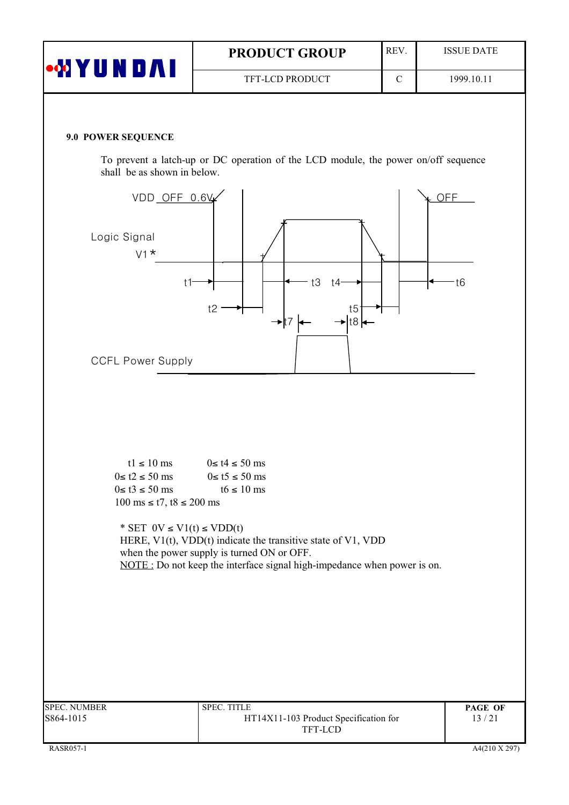| <b>WIYUNDAI</b> | <b>PRODUCT GROUP</b>   | <b>REV</b> | <b>ISSUE DATE</b> |
|-----------------|------------------------|------------|-------------------|
|                 | <b>TFT-LCD PRODUCT</b> |            | 1999.10.11        |

#### 9.0 POWER SEQUENCE

To prevent a latch-up or DC operation of the LCD module, the power on/off sequence shall be as shown in below.

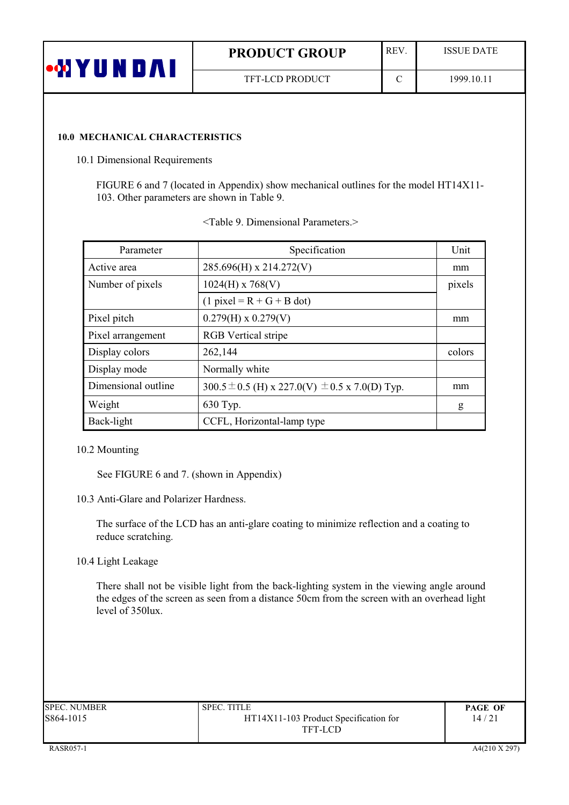| <b>MY</b><br>Ш | <b>PRODUCT GROUP</b>   | <b>REV</b> | <b>ISSUE DATE</b> |
|----------------|------------------------|------------|-------------------|
|                | <b>TFT-LCD PRODUCT</b> | $\sim$     | 1999.10.11        |

#### **10.0 MECHANICAL CHARACTERISTICS**

10.1 Dimensional Requirements

FIGURE 6 and 7 (located in Appendix) show mechanical outlines for the model HT14X11-103. Other parameters are shown in Table 9.

| Parameter           | Specification                                          | <b>Unit</b> |
|---------------------|--------------------------------------------------------|-------------|
| Active area         | 285.696(H) x 214.272(V)                                | mm          |
| Number of pixels    | $1024(H)$ x 768(V)                                     | pixels      |
|                     | $(1$ pixel = R + G + B dot)                            |             |
| Pixel pitch         | $0.279(H) \times 0.279(V)$                             | mm          |
| Pixel arrangement   | <b>RGB</b> Vertical stripe                             |             |
| Display colors      | 262,144                                                | colors      |
| Display mode        | Normally white                                         |             |
| Dimensional outline | 300.5 $\pm$ 0.5 (H) x 227.0(V) $\pm$ 0.5 x 7.0(D) Typ. | mm          |
| Weight              | 630 Typ.                                               | g           |
| Back-light          | CCFL, Horizontal-lamp type                             |             |

|  |  | <table 9.="" dimensional="" parameters.=""></table> |
|--|--|-----------------------------------------------------|
|--|--|-----------------------------------------------------|

#### 10.2 Mounting

See FIGURE 6 and 7. (shown in Appendix)

10.3 Anti-Glare and Polarizer Hardness.

The surface of the LCD has an anti-glare coating to minimize reflection and a coating to reduce scratching.

10.4 Light Leakage

There shall not be visible light from the back-lighting system in the viewing angle around the edges of the screen as seen from a distance 50cm from the screen with an overhead light level of 350lux.

| SPEC. NUMBER | <b>SPEC. TITLE</b>                    | <b>PAGE OF</b> |
|--------------|---------------------------------------|----------------|
| 8864-1015    | HT14X11-103 Product Specification for | 14/21          |
|              | TFT-LCD                               |                |
|              |                                       |                |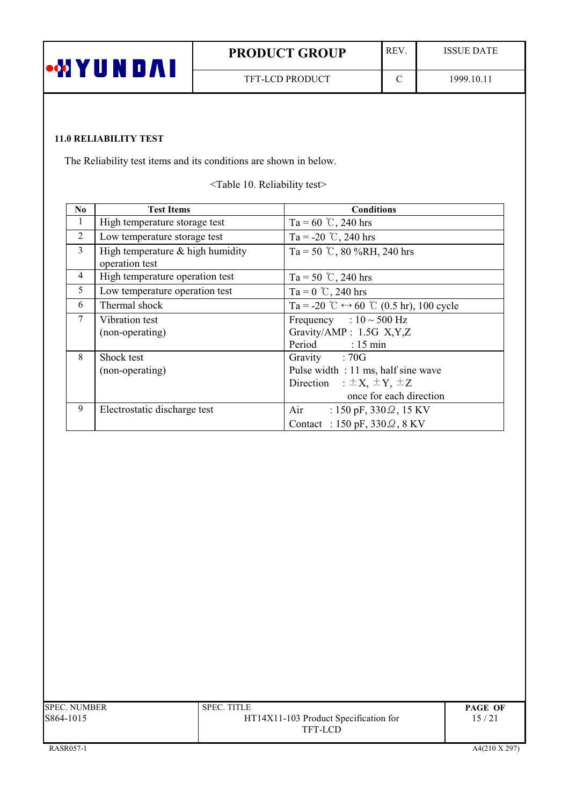| <b>PRODUCT GROUP</b>   | <b>REV</b> | <b>ISSUE DATE</b> |
|------------------------|------------|-------------------|
| <b>TFT-LCD PRODUCT</b> |            | 1999.10.11        |

# **11.0 RELIABILITY TEST**

The Reliability test items and its conditions are shown in below.

<Table 10. Reliability test>

| N <sub>0</sub> | <b>Test Items</b>                                    | <b>Conditions</b>                                       |
|----------------|------------------------------------------------------|---------------------------------------------------------|
| 1              | High temperature storage test                        | Ta = 60 °C, 240 hrs                                     |
| 2              | Low temperature storage test                         | Ta = -20 °C, 240 hrs                                    |
| 3              | High temperature $&$ high humidity<br>operation test | Ta = 50 °C, 80 %RH, 240 hrs                             |
| $\overline{4}$ | High temperature operation test                      | Ta = 50 °C, 240 hrs                                     |
| 5              | Low temperature operation test                       | Ta = $0^{\circ}$ C, 240 hrs                             |
| 6              | Thermal shock                                        | Ta = -20 °C $\leftrightarrow$ 60 °C (0.5 hr), 100 cycle |
| $\tau$         | Vibration test                                       | Frequency : $10 \sim 500$ Hz                            |
|                | (non-operating)                                      | Gravity/AMP: 1.5G X,Y,Z                                 |
|                |                                                      | Period : 15 min                                         |
| 8              | Shock test                                           | Gravity : 70G                                           |
|                | (non-operating)                                      | Pulse width : 11 ms, half sine wave                     |
|                |                                                      | Direction : $\pm X$ , $\pm Y$ , $\pm Z$                 |
|                |                                                      | once for each direction                                 |
| 9              | Electrostatic discharge test                         | Air<br>: 150 pF, $330\Omega$ , 15 KV                    |
|                |                                                      | Contact : 150 pF, $330\Omega$ , 8 KV                    |

| SPEC. NUMBER | SPEC. TITLE                           | <b>PAGE OF</b> |
|--------------|---------------------------------------|----------------|
| 8864-1015    | HT14X11-103 Product Specification for | 15/21          |
|              | TFT-LCD                               |                |
|              |                                       |                |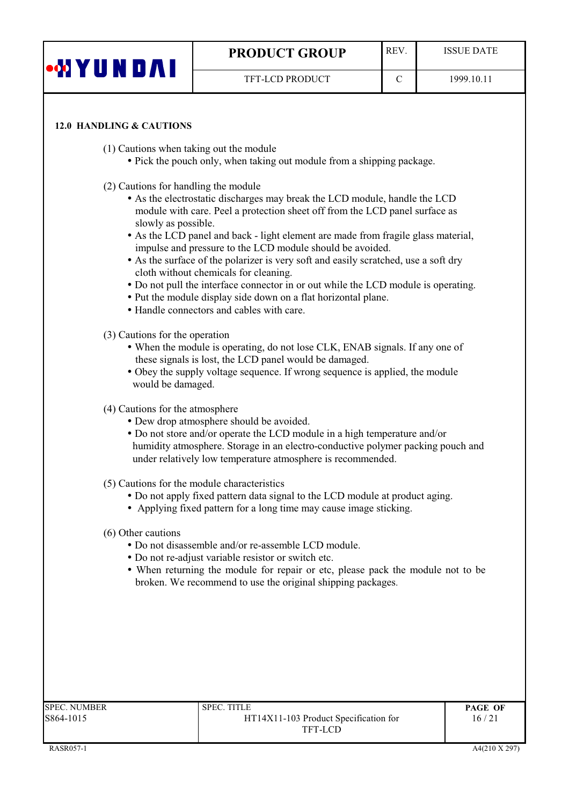| YUNDAI | <b>PRODUCT GROUP</b>   | <b>REV</b> | <b>ISSUE DATE</b> |
|--------|------------------------|------------|-------------------|
|        | <b>TFT-LCD PRODUCT</b> |            | 1999.10.11        |
|        |                        |            |                   |

#### **12.0 HANDLING & CAUTIONS**

(1) Cautions when taking out the module

- Pick the pouch only, when taking out module from a shipping package.
- (2) Cautions for handling the module
	- As the electrostatic discharges may break the LCD module, handle the LCD module with care. Peel a protection sheet off from the LCD panel surface as slowly as possible.
	- As the LCD panel and back light element are made from fragile glass material, impulse and pressure to the LCD module should be avoided.
	- As the surface of the polarizer is very soft and easily scratched, use a soft dry cloth without chemicals for cleaning.
	- Do not pull the interface connector in or out while the LCD module is operating.
	- Put the module display side down on a flat horizontal plane.
	- Handle connectors and cables with care.
- (3) Cautions for the operation
	- When the module is operating, do not lose CLK, ENAB signals. If any one of these signals is lost, the LCD panel would be damaged.
	- Obey the supply voltage sequence. If wrong sequence is applied, the module would be damaged.
- (4) Cautions for the atmosphere
	- Dew drop atmosphere should be avoided.
	- Do not store and/or operate the LCD module in a high temperature and/or humidity atmosphere. Storage in an electro-conductive polymer packing pouch and under relatively low temperature atmosphere is recommended.
- (5) Cautions for the module characteristics
	- Do not apply fixed pattern data signal to the LCD module at product aging.
	- Applying fixed pattern for a long time may cause image sticking.

#### (6) Other cautions

- Do not disassemble and/or re-assemble LCD module.
- Do not re-adjust variable resistor or switch etc.
- When returning the module for repair or etc, please pack the module not to be broken. We recommend to use the original shipping packages.

| SPEC. NUMBER | <b>SPEC. TITLE</b>                    | <b>PAGE OF</b> |
|--------------|---------------------------------------|----------------|
| 864-1015     | HT14X11-103 Product Specification for | 16/21          |
|              | TFT-LCD                               |                |
|              |                                       |                |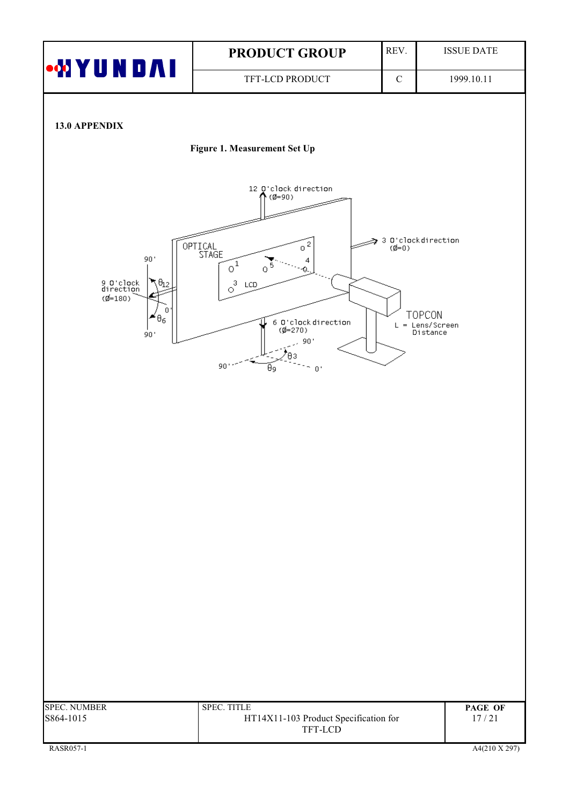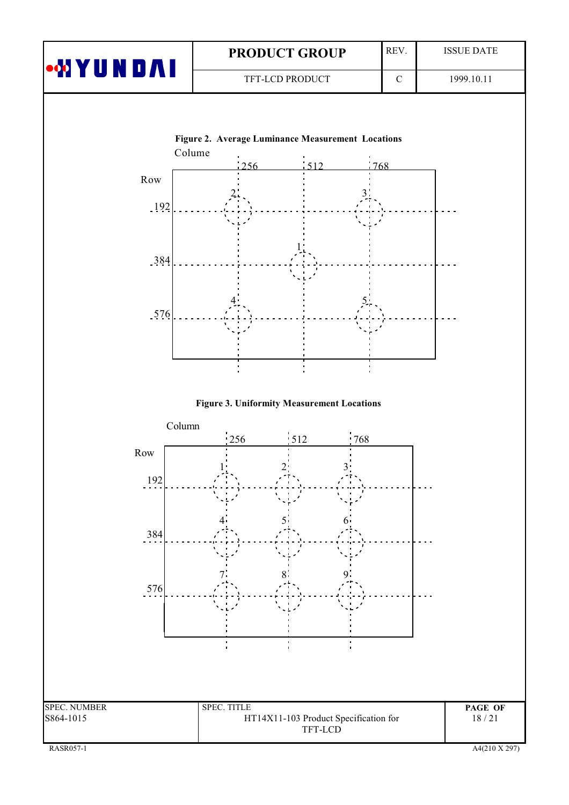| <b>ION YUNDAI</b> | <b>PRODUCT GROUP</b>   | REV. | <b>ISSUE DATE</b> |
|-------------------|------------------------|------|-------------------|
|                   | <b>TFT-LCD PRODUCT</b> |      | 1999.10.11        |
|                   |                        |      |                   |





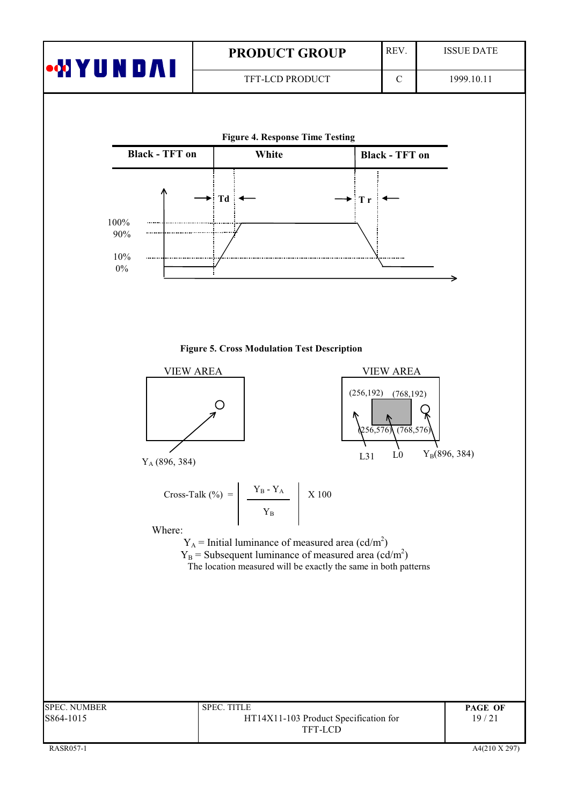|                       | <b>PRODUCT GROUP</b>                         | REV.                  | <b>ISSUE DATE</b> |
|-----------------------|----------------------------------------------|-----------------------|-------------------|
| <b>MYUNDAI</b>        | TFT-LCD PRODUCT                              | $\mathbf C$           | 1999.10.11        |
|                       |                                              |                       |                   |
|                       | <b>Figure 4. Response Time Testing</b>       |                       |                   |
| <b>Black - TFT on</b> | White                                        | <b>Black - TFT on</b> |                   |
| 100%<br>90%<br>10%    | $\rightarrow$ Td<br>$\blacktriangleright$ Tr | -------------         |                   |

#### **Figure 5. Cross Modulation Test Description**

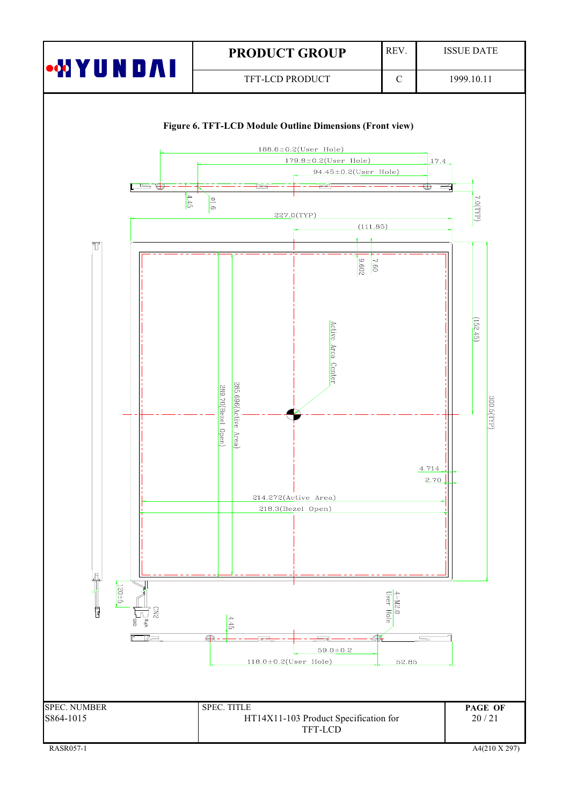